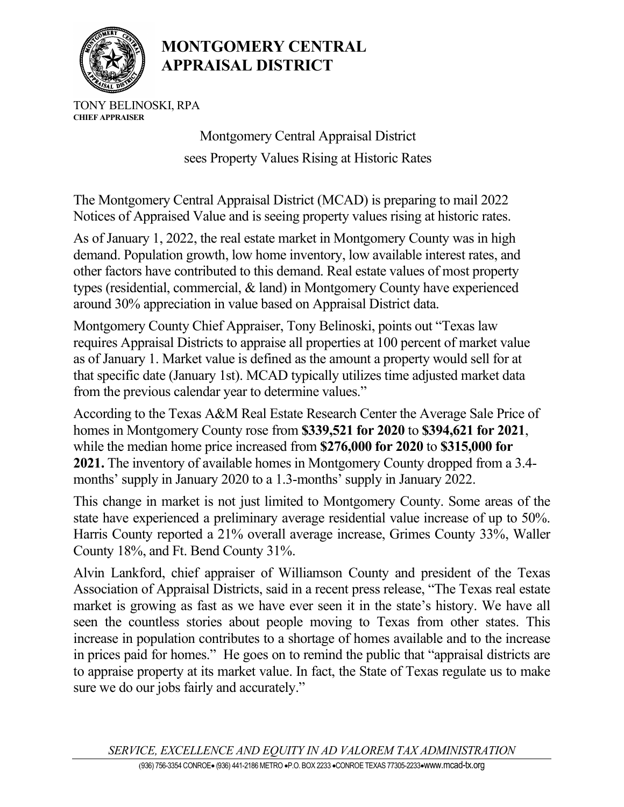

## MONTGOMERY CENTRAL APPRAISAL DISTRICT

TONY BELINOSKI, RPA CHIEF APPRAISER

> Montgomery Central Appraisal District sees Property Values Rising at Historic Rates

The Montgomery Central Appraisal District (MCAD) is preparing to mail 2022 Notices of Appraised Value and is seeing property values rising at historic rates.

As of January 1, 2022, the real estate market in Montgomery County was in high demand. Population growth, low home inventory, low available interest rates, and other factors have contributed to this demand. Real estate values of most property types (residential, commercial, & land) in Montgomery County have experienced around 30% appreciation in value based on Appraisal District data.

Montgomery County Chief Appraiser, Tony Belinoski, points out "Texas law requires Appraisal Districts to appraise all properties at 100 percent of market value as of January 1. Market value is defined as the amount a property would sell for at that specific date (January 1st). MCAD typically utilizes time adjusted market data from the previous calendar year to determine values."

According to the Texas A&M Real Estate Research Center the Average Sale Price of homes in Montgomery County rose from \$339,521 for 2020 to \$394,621 for 2021, while the median home price increased from \$276,000 for 2020 to \$315,000 for 2021. The inventory of available homes in Montgomery County dropped from a 3.4 months' supply in January 2020 to a 1.3-months' supply in January 2022.

This change in market is not just limited to Montgomery County. Some areas of the state have experienced a preliminary average residential value increase of up to 50%. Harris County reported a 21% overall average increase, Grimes County 33%, Waller County 18%, and Ft. Bend County 31%.

Alvin Lankford, chief appraiser of Williamson County and president of the Texas Association of Appraisal Districts, said in a recent press release, "The Texas real estate market is growing as fast as we have ever seen it in the state's history. We have all seen the countless stories about people moving to Texas from other states. This increase in population contributes to a shortage of homes available and to the increase in prices paid for homes." He goes on to remind the public that "appraisal districts are to appraise property at its market value. In fact, the State of Texas regulate us to make sure we do our jobs fairly and accurately."